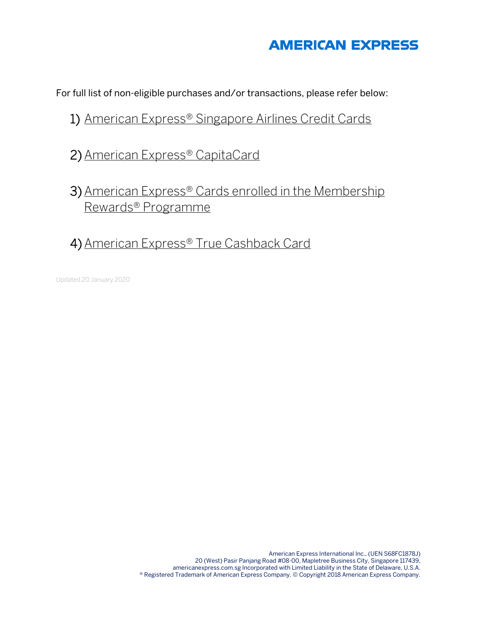# **AMERICAN EXPRESS**

For full list of non-eligible purchases and/or transactions, please refer below:

## 1) [American Express® Singapore Airlines Credit Cards](#page-1-0)

- 2)[American Express® CapitaCard](#page-1-0)
- 3) [American Express® Cards enrolled in the Membership](#page-2-0) Rewards® Programme
- 4) American Express<sup>®</sup> True Cashback Card

Updated 20 January 2020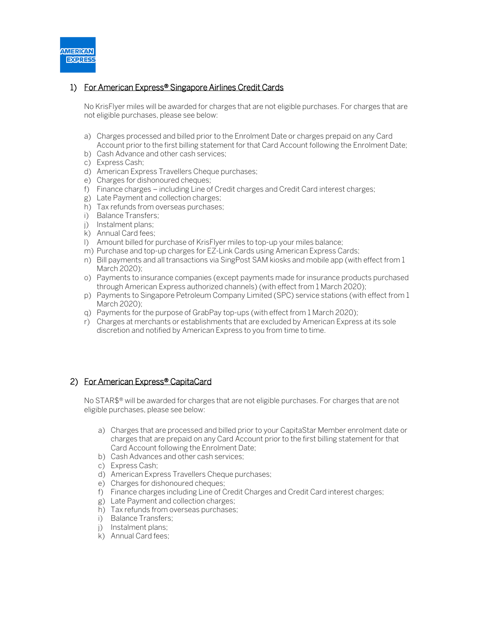<span id="page-1-0"></span>

#### 1) For American Express<sup>®</sup> Singapore Airlines Credit Cards

No KrisFlyer miles will be awarded for charges that are not eligible purchases. For charges that are not eligible purchases, please see below:

- a) Charges processed and billed prior to the Enrolment Date or charges prepaid on any Card Account prior to the first billing statement for that Card Account following the Enrolment Date;
- b) Cash Advance and other cash services;
- c) Express Cash;
- d) American Express Travellers Cheque purchases;
- e) Charges for dishonoured cheques;
- f) Finance charges including Line of Credit charges and Credit Card interest charges;
- g) Late Payment and collection charges;
- h) Tax refunds from overseas purchases;
- i) Balance Transfers;
- j) Instalment plans;
- k) Annual Card fees;
- l) Amount billed for purchase of KrisFlyer miles to top-up your miles balance;
- m) Purchase and top-up charges for EZ-Link Cards using American Express Cards;
- n) Bill payments and all transactions via SingPost SAM kiosks and mobile app (with effect from 1 March 2020);
- o) Payments to insurance companies (except payments made for insurance products purchased through American Express authorized channels) (with effect from 1 March 2020);
- p) Payments to Singapore Petroleum Company Limited (SPC) service stations (with effect from 1 March 2020);
- q) Payments for the purpose of GrabPay top-ups (with effect from 1 March 2020);
- r) Charges at merchants or establishments that are excluded by American Express at its sole discretion and notified by American Express to you from time to time.

### 2) For American Express® CapitaCard

No STAR\$® will be awarded for charges that are not eligible purchases. For charges that are not eligible purchases, please see below:

- a) Charges that are processed and billed prior to your CapitaStar Member enrolment date or charges that are prepaid on any Card Account prior to the first billing statement for that Card Account following the Enrolment Date;
- b) Cash Advances and other cash services;
- c) Express Cash;
- d) American Express Travellers Cheque purchases;
- e) Charges for dishonoured cheques;
- f) Finance charges including Line of Credit Charges and Credit Card interest charges;
- g) Late Payment and collection charges;
- h) Tax refunds from overseas purchases;
- i) Balance Transfers;
- j) Instalment plans;
- k) Annual Card fees;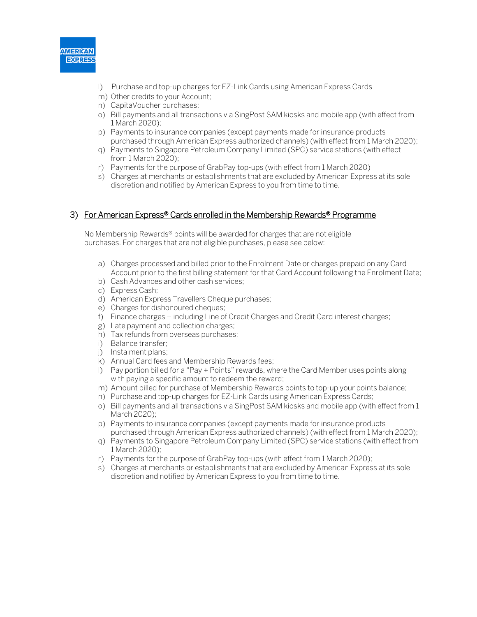<span id="page-2-0"></span>

- l) Purchase and top-up charges for EZ-Link Cards using American Express Cards
- m) Other credits to your Account;
- n) CapitaVoucher purchases;
- o) Bill payments and all transactions via SingPost SAM kiosks and mobile app (with effect from 1 March 2020);
- p) Payments to insurance companies (except payments made for insurance products purchased through American Express authorized channels) (with effect from 1 March 2020);
- q) Payments to Singapore Petroleum Company Limited (SPC) service stations (with effect from 1 March 2020);
- r) Payments for the purpose of GrabPay top-ups (with effect from 1 March 2020)
- s) Charges at merchants or establishments that are excluded by American Express at its sole discretion and notified by American Express to you from time to time.

#### 3) For American Express<sup>®</sup> Cards enrolled in the Membership Rewards<sup>®</sup> Programme

No Membership Rewards® points will be awarded for charges that are not eligible purchases. For charges that are not eligible purchases, please see below:

- a) Charges processed and billed prior to the Enrolment Date or charges prepaid on any Card Account prior to the first billing statement for that Card Account following the Enrolment Date;
- b) Cash Advances and other cash services;
- c) Express Cash;
- d) American Express Travellers Cheque purchases;
- e) Charges for dishonoured cheques;
- f) Finance charges including Line of Credit Charges and Credit Card interest charges;
- g) Late payment and collection charges;
- h) Tax refunds from overseas purchases;
- i) Balance transfer;
- j) Instalment plans;
- k) Annual Card fees and Membership Rewards fees;
- l) Pay portion billed for a "Pay + Points" rewards, where the Card Member uses points along with paying a specific amount to redeem the reward;
- m) Amount billed for purchase of Membership Rewards points to top-up your points balance;
- n) Purchase and top-up charges for EZ-Link Cards using American Express Cards;
- o) Bill payments and all transactions via SingPost SAM kiosks and mobile app (with effect from 1 March 2020);
- p) Payments to insurance companies (except payments made for insurance products purchased through American Express authorized channels) (with effect from 1 March 2020);
- q) Payments to Singapore Petroleum Company Limited (SPC) service stations (with effect from 1 March 2020);
- r) Payments for the purpose of GrabPay top-ups (with effect from 1 March 2020);
- s) Charges at merchants or establishments that are excluded by American Express at its sole discretion and notified by American Express to you from time to time.